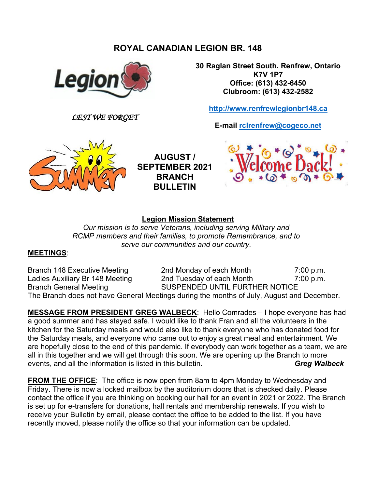# **ROYAL CANADIAN LEGION BR. 148**



*LEST WE FORGET*

**E-mail [rclrenfrew@cogeco.net](mailto:rclrenfrew@cogeco.net)**



**30 Raglan Street South. Renfrew, Ontario K7V 1P7 Office: (613) 432-6450 Clubroom: (613) 432-2582**

**[http://www.renfrewlegionbr148.ca](http://www.renfrewlegionbr148.ca/)**



**AUGUST / SEPTEMBER 2021 BRANCH BULLETIN**

### **Legion Mission Statement**

*Our mission is to serve Veterans, including serving Military and RCMP members and their families, to promote Remembrance, and to serve our communities and our country.*

#### **MEETINGS**:

Branch 148 Executive Meeting 2nd Monday of each Month 7:00 p.m. Ladies Auxiliary Br 148 Meeting 2nd Tuesday of each Month 7:00 p.m. Branch General Meeting SUSPENDED UNTIL FURTHER NOTICE The Branch does not have General Meetings during the months of July, August and December.

**MESSAGE FROM PRESIDENT GREG WALBECK**: Hello Comrades – I hope everyone has had a good summer and has stayed safe. I would like to thank Fran and all the volunteers in the kitchen for the Saturday meals and would also like to thank everyone who has donated food for the Saturday meals, and everyone who came out to enjoy a great meal and entertainment. We are hopefully close to the end of this pandemic. If everybody can work together as a team, we are all in this together and we will get through this soon. We are opening up the Branch to more events, and all the information is listed in this bulletin. **Gulfary of the Case of Creq Walbeck** by **Greg Walbeck** 

**FROM THE OFFICE**: The office is now open from 8am to 4pm Monday to Wednesday and Friday. There is now a locked mailbox by the auditorium doors that is checked daily. Please contact the office if you are thinking on booking our hall for an event in 2021 or 2022. The Branch is set up for e-transfers for donations, hall rentals and membership renewals. If you wish to receive your Bulletin by email, please contact the office to be added to the list. If you have recently moved, please notify the office so that your information can be updated.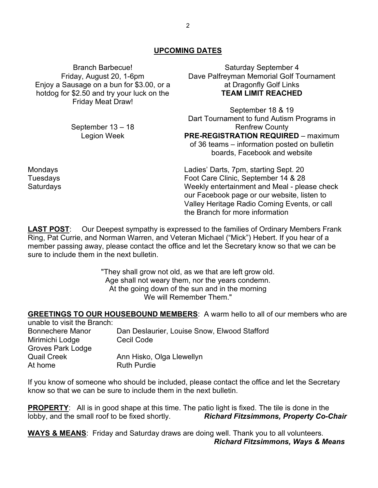#### **UPCOMING DATES**

Branch Barbecue! Friday, August 20, 1-6pm Enjoy a Sausage on a bun for \$3.00, or a hotdog for \$2.50 and try your luck on the Friday Meat Draw!

> September 13 – 18 Legion Week

Saturday September 4 Dave Palfreyman Memorial Golf Tournament at Dragonfly Golf Links **TEAM LIMIT REACHED**

September 18 & 19 Dart Tournament to fund Autism Programs in Renfrew County **PRE-REGISTRATION REQUIRED** – maximum of 36 teams – information posted on bulletin boards, Facebook and website

Mondays Ladies' Darts, 7pm, starting Sept. 20 Tuesdays Foot Care Clinic, September 14 & 28 Saturdays Weekly entertainment and Meal - please check our Facebook page or our website, listen to Valley Heritage Radio Coming Events, or call the Branch for more information

**LAST POST**: Our Deepest sympathy is expressed to the families of Ordinary Members Frank Ring, Pat Currie, and Norman Warren, and Veteran Michael ("Mick") Hebert. If you hear of a member passing away, please contact the office and let the Secretary know so that we can be sure to include them in the next bulletin.

> "They shall grow not old, as we that are left grow old. Age shall not weary them, nor the years condemn. At the going down of the sun and in the morning We will Remember Them."

**GREETINGS TO OUR HOUSEBOUND MEMBERS**: A warm hello to all of our members who are

| unable to visit the Branch: |                                              |
|-----------------------------|----------------------------------------------|
| <b>Bonnechere Manor</b>     | Dan Deslaurier, Louise Snow, Elwood Stafford |
| Mirimichi Lodge             | <b>Cecil Code</b>                            |
| <b>Groves Park Lodge</b>    |                                              |
| <b>Quail Creek</b>          | Ann Hisko, Olga Llewellyn                    |
| At home                     | <b>Ruth Purdie</b>                           |

If you know of someone who should be included, please contact the office and let the Secretary know so that we can be sure to include them in the next bulletin.

**PROPERTY**: All is in good shape at this time. The patio light is fixed. The tile is done in the **Richard Fitzsimmons, Property Co-Chair** 

**WAYS & MEANS**: Friday and Saturday draws are doing well. Thank you to all volunteers. *Richard Fitzsimmons, Ways & Means*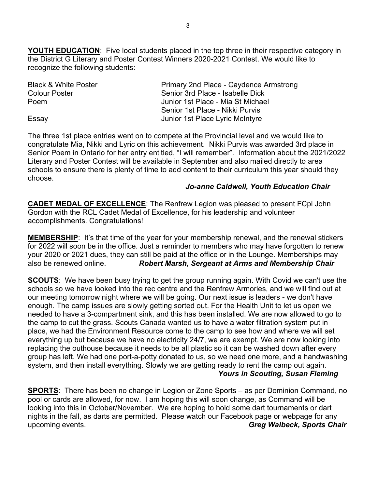**YOUTH EDUCATION**: Five local students placed in the top three in their respective category in the District G Literary and Poster Contest Winners 2020-2021 Contest. We would like to recognize the following students:

| <b>Black &amp; White Poster</b> | Primary 2nd Place - Caydence Armstrong |  |  |
|---------------------------------|----------------------------------------|--|--|
| Colour Poster                   | Senior 3rd Place - Isabelle Dick       |  |  |
| Poem                            | Junior 1st Place - Mia St Michael      |  |  |
|                                 | Senior 1st Place - Nikki Purvis        |  |  |
| Essay                           | Junior 1st Place Lyric McIntyre        |  |  |

The three 1st place entries went on to compete at the Provincial level and we would like to congratulate Mia, Nikki and Lyric on this achievement. Nikki Purvis was awarded 3rd place in Senior Poem in Ontario for her entry entitled, "I will remember". Information about the 2021/2022 Literary and Poster Contest will be available in September and also mailed directly to area schools to ensure there is plenty of time to add content to their curriculum this year should they choose.

#### *Jo-anne Caldwell, Youth Education Chair*

**CADET MEDAL OF EXCELLENCE**: The Renfrew Legion was pleased to present FCpl John Gordon with the RCL Cadet Medal of Excellence, for his leadership and volunteer accomplishments. Congratulations!

**MEMBERSHIP**: It's that time of the year for your membership renewal, and the renewal stickers for 2022 will soon be in the office. Just a reminder to members who may have forgotten to renew your 2020 or 2021 dues, they can still be paid at the office or in the Lounge. Memberships may also be renewed online. *Robert Marsh, Sergeant at Arms and Membership Chair*

**SCOUTS**: We have been busy trying to get the group running again. With Covid we can't use the schools so we have looked into the rec centre and the Renfrew Armories, and we will find out at our meeting tomorrow night where we will be going. Our next issue is leaders - we don't have enough. The camp issues are slowly getting sorted out. For the Health Unit to let us open we needed to have a 3-compartment sink, and this has been installed. We are now allowed to go to the camp to cut the grass. Scouts Canada wanted us to have a water filtration system put in place, we had the Environment Resource come to the camp to see how and where we will set everything up but because we have no electricity 24/7, we are exempt. We are now looking into replacing the outhouse because it needs to be all plastic so it can be washed down after every group has left. We had one port-a-potty donated to us, so we need one more, and a handwashing system, and then install everything. Slowly we are getting ready to rent the camp out again.  *Yours in Scouting, Susan Fleming*

**SPORTS**: There has been no change in Legion or Zone Sports – as per Dominion Command, no pool or cards are allowed, for now. I am hoping this will soon change, as Command will be looking into this in October/November. We are hoping to hold some dart tournaments or dart nights in the fall, as darts are permitted. Please watch our Facebook page or webpage for any upcoming events. *Greg Walbeck, Sports Chair*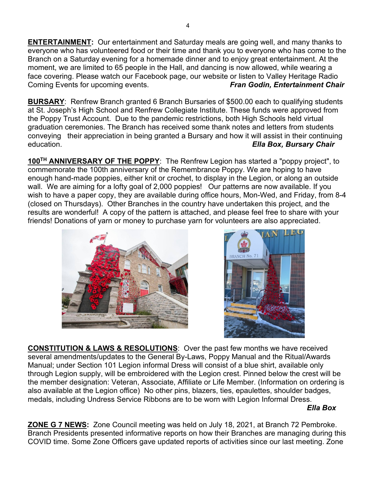**ENTERTAINMENT:** Our entertainment and Saturday meals are going well, and many thanks to everyone who has volunteered food or their time and thank you to everyone who has come to the Branch on a Saturday evening for a homemade dinner and to enjoy great entertainment. At the moment, we are limited to 65 people in the Hall, and dancing is now allowed, while wearing a face covering. Please watch our Facebook page, our website or listen to Valley Heritage Radio<br>Coming Events for upcoming events. *Fran Godin, Entertainment Chair* Coming Events for upcoming events.

**BURSARY**: Renfrew Branch granted 6 Branch Bursaries of \$500.00 each to qualifying students at St. Joseph's High School and Renfrew Collegiate Institute. These funds were approved from the Poppy Trust Account. Due to the pandemic restrictions, both High Schools held virtual graduation ceremonies. The Branch has received some thank notes and letters from students conveying their appreciation in being granted a Bursary and how it will assist in their continuing education. *Ella Box, Bursary Chair*

**100TH ANNIVERSARY OF THE POPPY**: The Renfrew Legion has started a "poppy project", to commemorate the 100th anniversary of the Remembrance Poppy. We are hoping to have enough hand-made poppies, either knit or crochet, to display in the Legion, or along an outside wall. We are aiming for a lofty goal of 2,000 poppies! Our patterns are now available. If you wish to have a paper copy, they are available during office hours, Mon-Wed, and Friday, from 8-4 (closed on Thursdays). Other Branches in the country have undertaken this project, and the results are wonderful! A copy of the pattern is attached, and please feel free to share with your friends! Donations of yarn or money to purchase yarn for volunteers are also appreciated.





**CONSTITUTION & LAWS & RESOLUTIONS**: Over the past few months we have received several amendments/updates to the General By-Laws, Poppy Manual and the Ritual/Awards Manual; under Section 101 Legion informal Dress will consist of a blue shirt, available only through Legion supply, will be embroidered with the Legion crest. Pinned below the crest will be the member designation: Veteran, Associate, Affiliate or Life Member. (Information on ordering is also available at the Legion office) No other pins, blazers, ties, epaulettes, shoulder badges, medals, including Undress Service Ribbons are to be worn with Legion Informal Dress.

*Ella Box*

**ZONE G 7 NEWS:** Zone Council meeting was held on July 18, 2021, at Branch 72 Pembroke. Branch Presidents presented informative reports on how their Branches are managing during this COVID time. Some Zone Officers gave updated reports of activities since our last meeting. Zone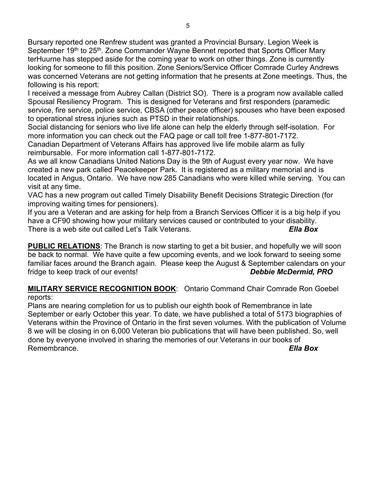Bursary reported one Renfrew student was granted a Provincial Bursary. Legion Week is September 19<sup>th</sup> to 25<sup>th</sup>. Zone Commander Wayne Bennet reported that Sports Officer Mary terHuurne has stepped aside for the coming year to work on other things. Zone is currently looking for someone to fill this position. Zone Seniors/Service Officer Comrade Curley Andrews was concerned Veterans are not getting information that he presents at Zone meetings. Thus, the following is his report:

I received a message from Aubrey Callan (District SO). There is a program now available called Spousal Resiliency Program. This is designed for Veterans and first responders (paramedic service, fire service, police service, CBSA (other peace officer) spouses who have been exposed to operational stress injuries such as PTSD in their relationships.

Social distancing for seniors who live life alone can help the elderly through self-isolation. For more information you can check out the FAQ page or call toll free 1-877-801-7172.

Canadian Department of Veterans Affairs has approved live life mobile alarm as fully reimbursable. For more information call 1-877-801-7172.

As we all know Canadians United Nations Day is the 9th of August every year now. We have created a new park called Peacekeeper Park. It is registered as a military memorial and is located in Angus, Ontario. We have now 285 Canadians who were killed while serving. You can visit at any time.

VAC has a new program out called Timely Disability Benefit Decisions Strategic Direction (for improving waiting times for pensioners).

If you are a Veteran and are asking for help from a Branch Services Officer it is a big help if you have a CF90 showing how your military services caused or contributed to your disability. There is a web site out called Let's Talk Veterans. *Ella Box*

**PUBLIC RELATIONS**: The Branch is now starting to get a bit busier, and hopefully we will soon be back to normal. We have quite a few upcoming events, and we look forward to seeing some familiar faces around the Branch again. Please keep the August & September calendars on your fridge to keep track of our events! *Debbie McDermid, PRO*

**MILITARY SERVICE RECOGNITION BOOK**: Ontario Command Chair Comrade Ron Goebel reports:

Plans are nearing completion for us to publish our eighth book of Remembrance in late September or early October this year. To date, we have published a total of 5173 biographies of Veterans within the Province of Ontario in the first seven volumes. With the publication of Volume 8 we will be closing in on 6,000 Veteran bio publications that will have been published. So, well done by everyone involved in sharing the memories of our Veterans in our books of Remembrance. *Ella Box*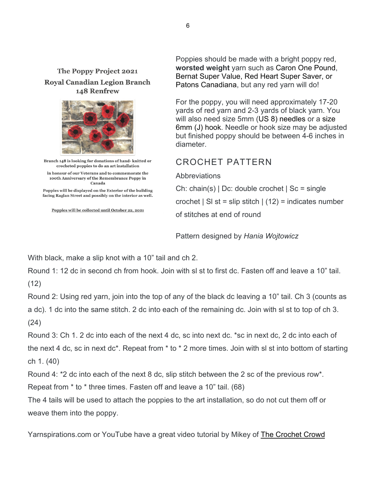### The Poppy Project 2021 **Royal Canadian Legion Branch** 148 Renfrew



Branch 148 is looking for donations of hand-knitted or crocheted poppies to do an art installation in honour of our Veterans and to commemorate the 100th Anniversary of the Remembrance Poppy in Canada

Poppies will be displayed on the Exterior of the building facing Raglan Street and possibly on the interior as well.

Poppies will be collected until October 22, 2021

Poppies should be made with a bright poppy red, **worsted weight** yarn such as [Caron One P](https://www.yarnspirations.com/ca-en/caron-one-pound-yarn--claret/29401010562.html)ound, [Bernat Super Value,](https://www.yarnspirations.com/ca-en/bernat-super-value-yarn--berry/16405300607.html) [Red Heart Super Saver,](https://www.yarnspirations.com/ca-en/red-heart-super-saver-yarn--cherry-red/E300B-0319.html) or [Patons Canadiana,](https://www.yarnspirations.com/ca-en/red-heart-super-saver-yarn--cherry-red/E300B-0319.html) but any red yarn will do!

For the poppy, you will need approximately 17-20 yards of red yarn and 2-3 yards of black yarn. You will also need size 5mm [\(US 8\)](https://www.yarnspirations.com/ca-en/susan-bates-silvalume-14%22-single-point-knitting-needles--u.s.-8--5-mm-/11114-008-0500.html) needles or a [size](https://www.yarnspirations.com/ca-en/susan-bates-silvalume-5%C2%BD%22-crochet-hook--u.s.-j-10--6-mm-/12106-00J-0600.html)  6mm [\(J\) hook.](https://www.yarnspirations.com/ca-en/susan-bates-silvalume-5%C2%BD%22-crochet-hook--u.s.-j-10--6-mm-/12106-00J-0600.html) Needle or hook size may be adjusted but finished poppy should be between 4-6 inches in diameter.

# CROCHET PATTERN

### Abbreviations

Ch: chain(s) | Dc: double crochet | Sc = single crochet | SI st = slip stitch |  $(12)$  = indicates number of stitches at end of round

Pattern designed by *Hania Wojtowicz*

With black, make a slip knot with a 10" tail and ch 2.

Round 1: 12 dc in second ch from hook. Join with sl st to first dc. Fasten off and leave a 10" tail. (12)

Round 2: Using red yarn, join into the top of any of the black dc leaving a 10" tail. Ch 3 (counts as a dc). 1 dc into the same stitch. 2 dc into each of the remaining dc. Join with sl st to top of ch 3. (24)

Round 3: Ch 1. 2 dc into each of the next 4 dc, sc into next dc. \*sc in next dc, 2 dc into each of the next 4 dc, sc in next dc\*. Repeat from \* to \* 2 more times. Join with sl st into bottom of starting ch 1. (40)

Round 4: \*2 dc into each of the next 8 dc, slip stitch between the 2 sc of the previous row\*.

Repeat from \* to \* three times. Fasten off and leave a 10" tail. (68)

The 4 tails will be used to attach the poppies to the art installation, so do not cut them off or weave them into the poppy.

Yarnspirations.com or YouTube have a great video tutorial by Mikey of [The Crochet Crowd](https://thecrochetcrowd.com/)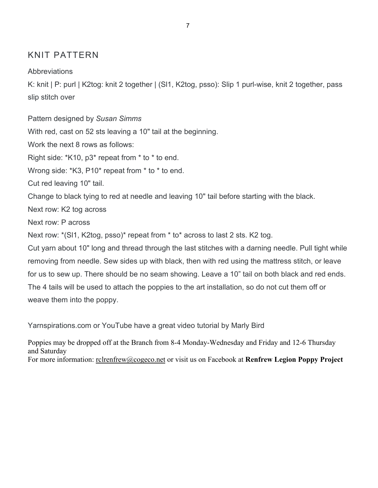# KNIT PATTERN

**Abbreviations** 

K: knit | P: purl | K2tog: knit 2 together | (Sl1, K2tog, psso): Slip 1 purl-wise, knit 2 together, pass slip stitch over

Pattern designed by *Susan Simms* With red, cast on 52 sts leaving a 10" tail at the beginning. Work the next 8 rows as follows: Right side: \*K10, p3\* repeat from \* to \* to end. Wrong side: \*K3, P10\* repeat from \* to \* to end. Cut red leaving 10" tail. Change to black tying to red at needle and leaving 10" tail before starting with the black. Next row: K2 tog across Next row: P across Next row: \*(Sl1, K2tog, psso)\* repeat from \* to\* across to last 2 sts. K2 tog. Cut yarn about 10" long and thread through the last stitches with a darning needle. Pull tight while removing from needle. Sew sides up with black, then with red using the mattress stitch, or leave for us to sew up. There should be no seam showing. Leave a 10" tail on both black and red ends. The 4 tails will be used to attach the poppies to the art installation, so do not cut them off or weave them into the poppy.

Yarnspirations.com or YouTube have a great video tutorial by Marly Bird

Poppies may be dropped off at the Branch from 8-4 Monday-Wednesday and Friday and 12-6 Thursday and Saturday For more information: <u>rclrenfrew@cogeco.net</u> or visit us on Facebook at **Renfrew Legion Poppy Project**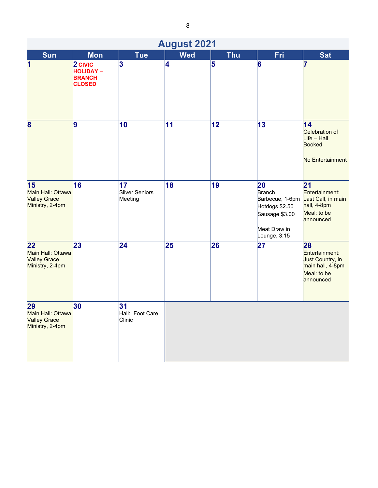| <b>August 2021</b>                                                |                                                                |                                 |            |            |                                                                                  |                                                                                                       |  |
|-------------------------------------------------------------------|----------------------------------------------------------------|---------------------------------|------------|------------|----------------------------------------------------------------------------------|-------------------------------------------------------------------------------------------------------|--|
| Sun                                                               | <b>Mon</b>                                                     | <b>Tue</b>                      | <b>Wed</b> | <b>Thu</b> | <b>Fri</b>                                                                       | <b>Sat</b>                                                                                            |  |
| $\vert$ 1                                                         | $2$ CIVIC<br><b>HOLIDAY-</b><br><b>BRANCH</b><br><b>CLOSED</b> | 3                               | 4          | 5          | 6                                                                                | 7                                                                                                     |  |
| 8                                                                 | $\vert$ 9                                                      | 10                              | 11         | 12         | 13                                                                               | 14<br>Celebration of<br>$Liste - Hall$<br>Booked<br>No Entertainment                                  |  |
| 15<br>Main Hall: Ottawa<br><b>Valley Grace</b><br>Ministry, 2-4pm | 16                                                             | 17<br>Silver Seniors<br>Meeting | 18         | 19         | 20<br>Branch<br>Hotdogs \$2.50<br>Sausage \$3.00<br>Meat Draw in<br>Lounge, 3:15 | 21<br>Entertainment:<br>Barbecue, 1-6pm Last Call, in main<br>hall, 4-8pm<br>Meal: to be<br>announced |  |
| 22<br>Main Hall: Ottawa<br><b>Valley Grace</b><br>Ministry, 2-4pm | 23                                                             | $\overline{24}$                 | 25         | 26         | 27                                                                               | 28<br>Entertainment:<br>Just Country, in<br>main hall, 4-8pm<br>Meal: to be<br>announced              |  |
| 29<br>Main Hall: Ottawa<br><b>Valley Grace</b><br>Ministry, 2-4pm | 30                                                             | 31<br>Hall: Foot Care<br>Clinic |            |            |                                                                                  |                                                                                                       |  |